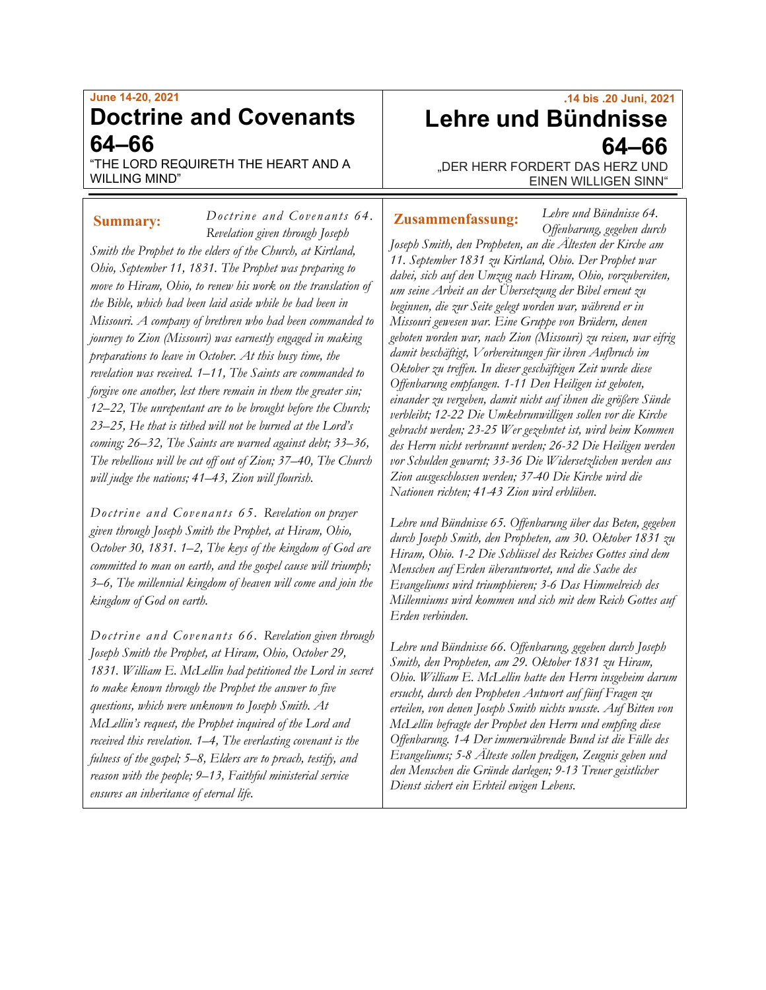## **June 14-20, 2021 Doctrine and Covenants 64–66**

"THE LORD REQUIRETH THE HEART AND A WILLING MIND"

*Doctrine and Covenants 64.*

*Revelation given through Joseph Smith the Prophet to the elders of the Church, at Kirtland, Ohio, September 11, 1831. The Prophet was preparing to move to Hiram, Ohio, to renew his work on the translation of the Bible, which had been laid aside while he had been in Missouri. A company of brethren who had been commanded to journey to Zion (Missouri) was earnestly engaged in making preparations to leave in October. At this busy time, the revelation was received. 1–11, The Saints are commanded to forgive one another, lest there remain in them the greater sin; 12–22, The unrepentant are to be brought before the Church; 23–25, He that is tithed will not be burned at the Lord's coming; 26–32, The Saints are warned against debt; 33–36, The rebellious will be cut off out of Zion; 37–40, The Church will judge the nations; 41–43, Zion will flourish.*

*Doctrine and Covenants 65. Revelation on prayer given through Joseph Smith the Prophet, at Hiram, Ohio, October 30, 1831. 1–2, The keys of the kingdom of God are committed to man on earth, and the gospel cause will triumph; 3–6, The millennial kingdom of heaven will come and join the kingdom of God on earth.*

*Doctrine and Covenants 66. Revelation given through Joseph Smith the Prophet, at Hiram, Ohio, October 29, 1831. William E. McLellin had petitioned the Lord in secret to make known through the Prophet the answer to five questions, which were unknown to Joseph Smith. At McLellin's request, the Prophet inquired of the Lord and received this revelation. 1–4, The everlasting covenant is the fulness of the gospel; 5–8, Elders are to preach, testify, and reason with the people; 9–13, Faithful ministerial service ensures an inheritance of eternal life.*

# **.14 bis .20 Juni, 2021 Lehre und Bündnisse 64–66**

"DER HERR FORDERT DAS HERZ UND EINEN WILLIGEN SINN"

*Lehre und Bündnisse 64.*

#### **Summary:** Doctrine and Covenants 64. **Zusammenfassung:**

*Offenbarung, gegeben durch Joseph Smith, den Propheten, an die Ältesten der Kirche am 11. September 1831 zu Kirtland, Ohio. Der Prophet war dabei, sich auf den Umzug nach Hiram, Ohio, vorzubereiten, um seine Arbeit an der Übersetzung der Bibel erneut zu beginnen, die zur Seite gelegt worden war, während er in Missouri gewesen war. Eine Gruppe von Brüdern, denen geboten worden war, nach Zion (Missouri) zu reisen, war eifrig damit beschäftigt, Vorbereitungen für ihren Aufbruch im Oktober zu treffen. In dieser geschäftigen Zeit wurde diese Offenbarung empfangen. 1-11 Den Heiligen ist geboten, einander zu vergeben, damit nicht auf ihnen die größere Sünde verbleibt; 12-22 Die Umkehrunwilligen sollen vor die Kirche gebracht werden; 23-25 Wer gezehntet ist, wird beim Kommen des Herrn nicht verbrannt werden; 26-32 Die Heiligen werden vor Schulden gewarnt; 33-36 Die Widersetzlichen werden aus Zion ausgeschlossen werden; 37-40 Die Kirche wird die Nationen richten; 41-43 Zion wird erblühen.*

*Lehre und Bündnisse 65. Offenbarung über das Beten, gegeben durch Joseph Smith, den Propheten, am 30. Oktober 1831 zu Hiram, Ohio. 1-2 Die Schlüssel des Reiches Gottes sind dem Menschen auf Erden überantwortet, und die Sache des Evangeliums wird triumphieren; 3-6 Das Himmelreich des Millenniums wird kommen und sich mit dem Reich Gottes auf Erden verbinden.*

*Lehre und Bündnisse 66. Offenbarung, gegeben durch Joseph Smith, den Propheten, am 29. Oktober 1831 zu Hiram, Ohio. William E. McLellin hatte den Herrn insgeheim darum ersucht, durch den Propheten Antwort auf fünf Fragen zu erteilen, von denen Joseph Smith nichts wusste. Auf Bitten von McLellin befragte der Prophet den Herrn und empfing diese Offenbarung. 1-4 Der immerwährende Bund ist die Fülle des Evangeliums; 5-8 Älteste sollen predigen, Zeugnis geben und den Menschen die Gründe darlegen; 9-13 Treuer geistlicher Dienst sichert ein Erbteil ewigen Lebens.*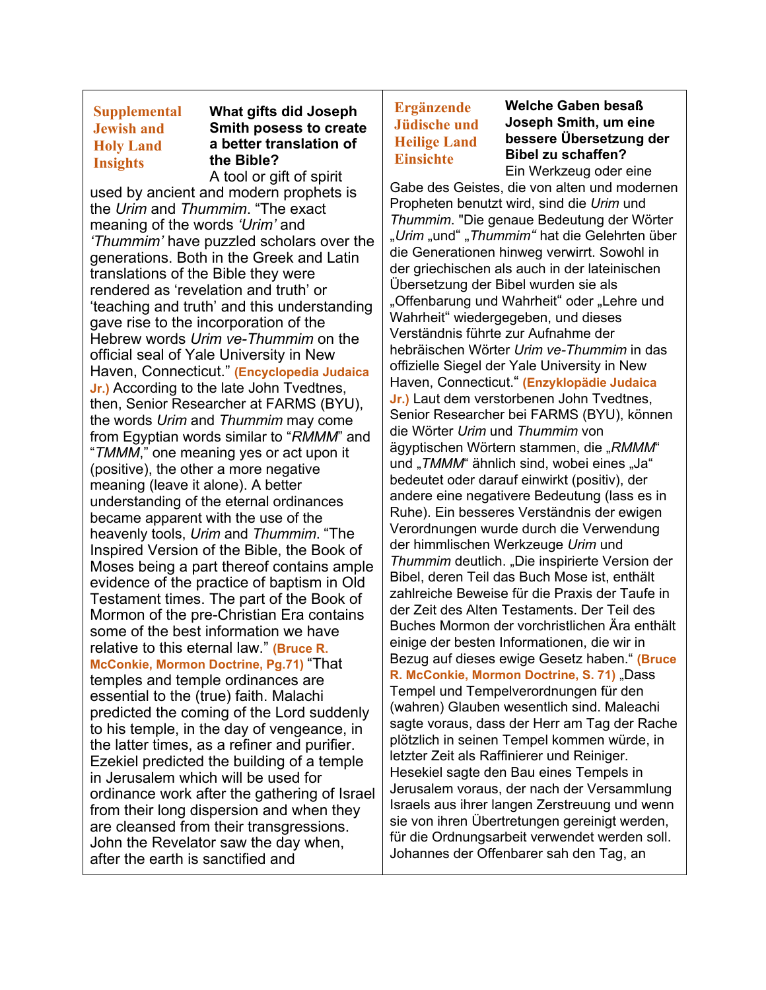### **Supplemental Jewish and Holy Land Insights**

### **What gifts did Joseph Smith posess to create a better translation of the Bible?**

A tool or gift of spirit used by ancient and modern prophets is the *Urim* and *Thummim*. "The exact meaning of the words *'Urim'* and *'Thummim'* have puzzled scholars over the generations. Both in the Greek and Latin translations of the Bible they were rendered as 'revelation and truth' or 'teaching and truth' and this understanding gave rise to the incorporation of the Hebrew words *Urim ve-Thummim* on the official seal of Yale University in New Haven, Connecticut." **(Encyclopedia Judaica Jr.)** According to the late John Tvedtnes, then, Senior Researcher at FARMS (BYU), the words *Urim* and *Thummim* may come from Egyptian words similar to "*RMMM*" and "*TMMM*," one meaning yes or act upon it (positive), the other a more negative meaning (leave it alone). A better understanding of the eternal ordinances became apparent with the use of the heavenly tools, *Urim* and *Thummim*. "The Inspired Version of the Bible, the Book of Moses being a part thereof contains ample evidence of the practice of baptism in Old Testament times. The part of the Book of Mormon of the pre-Christian Era contains some of the best information we have relative to this eternal law." **(Bruce R. McConkie, Mormon Doctrine, Pg.71)** "That temples and temple ordinances are essential to the (true) faith. Malachi predicted the coming of the Lord suddenly to his temple, in the day of vengeance, in the latter times, as a refiner and purifier. Ezekiel predicted the building of a temple in Jerusalem which will be used for ordinance work after the gathering of Israel from their long dispersion and when they are cleansed from their transgressions. John the Revelator saw the day when, after the earth is sanctified and

## **Ergänzende Jüdische und Heilige Land Einsichte**

**Welche Gaben besaß Joseph Smith, um eine bessere Übersetzung der Bibel zu schaffen?** Ein Werkzeug oder eine

Gabe des Geistes, die von alten und modernen Propheten benutzt wird, sind die *Urim* und *Thummim*. "Die genaue Bedeutung der Wörter "*Urim* "und" "*Thummim"* hat die Gelehrten über die Generationen hinweg verwirrt. Sowohl in der griechischen als auch in der lateinischen Übersetzung der Bibel wurden sie als "Offenbarung und Wahrheit" oder "Lehre und Wahrheit" wiedergegeben, und dieses Verständnis führte zur Aufnahme der hebräischen Wörter *Urim ve-Thummim* in das offizielle Siegel der Yale University in New Haven, Connecticut." **(Enzyklopädie Judaica Jr.)** Laut dem verstorbenen John Tvedtnes, Senior Researcher bei FARMS (BYU), können die Wörter *Urim* und *Thummim* von ägyptischen Wörtern stammen, die "RMMM" und "*TMMM*" ähnlich sind, wobei eines "Ja" bedeutet oder darauf einwirkt (positiv), der andere eine negativere Bedeutung (lass es in Ruhe). Ein besseres Verständnis der ewigen Verordnungen wurde durch die Verwendung der himmlischen Werkzeuge *Urim* und **Thummim deutlich. "Die inspirierte Version der** Bibel, deren Teil das Buch Mose ist, enthält zahlreiche Beweise für die Praxis der Taufe in der Zeit des Alten Testaments. Der Teil des Buches Mormon der vorchristlichen Ära enthält einige der besten Informationen, die wir in Bezug auf dieses ewige Gesetz haben." **(Bruce**  R. McConkie, Mormon Doctrine, S. 71) "Dass Tempel und Tempelverordnungen für den (wahren) Glauben wesentlich sind. Maleachi sagte voraus, dass der Herr am Tag der Rache plötzlich in seinen Tempel kommen würde, in letzter Zeit als Raffinierer und Reiniger. Hesekiel sagte den Bau eines Tempels in Jerusalem voraus, der nach der Versammlung Israels aus ihrer langen Zerstreuung und wenn sie von ihren Übertretungen gereinigt werden, für die Ordnungsarbeit verwendet werden soll. Johannes der Offenbarer sah den Tag, an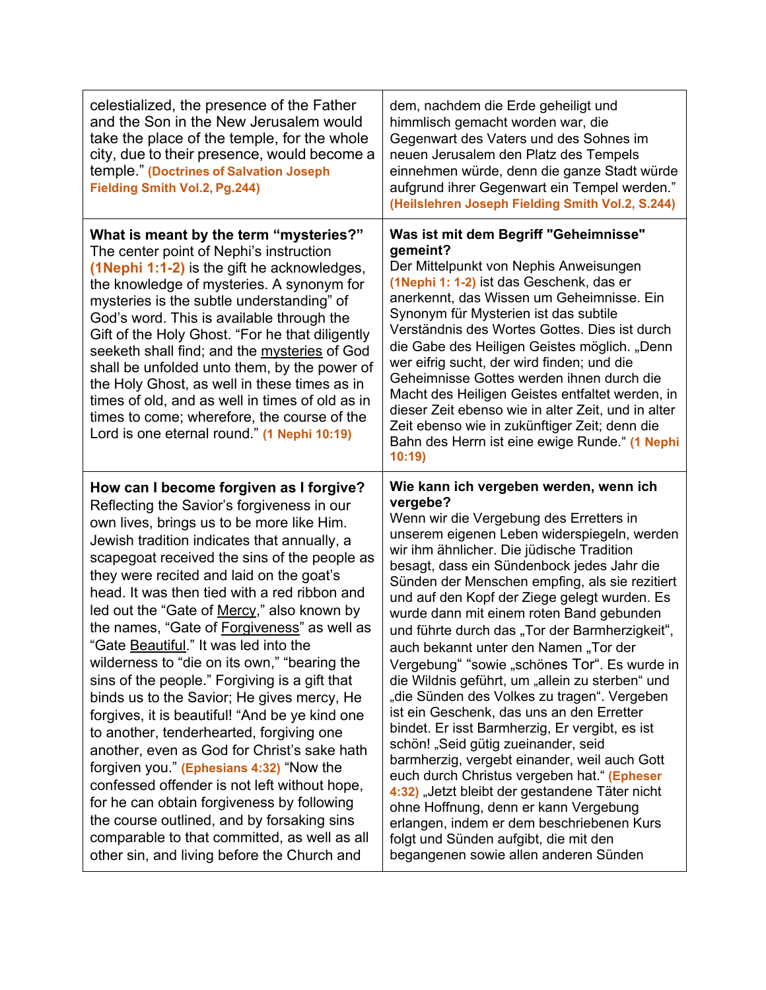| celestialized, the presence of the Father<br>and the Son in the New Jerusalem would<br>take the place of the temple, for the whole<br>city, due to their presence, would become a<br>temple." (Doctrines of Salvation Joseph<br><b>Fielding Smith Vol.2, Pg.244)</b>                                                                                                                                                                                                                                                                                                                                                                                                                                                                                                                                                                                                                                                                                                                                                                                   | dem, nachdem die Erde geheiligt und<br>himmlisch gemacht worden war, die<br>Gegenwart des Vaters und des Sohnes im<br>neuen Jerusalem den Platz des Tempels<br>einnehmen würde, denn die ganze Stadt würde<br>aufgrund ihrer Gegenwart ein Tempel werden."<br>(Heilslehren Joseph Fielding Smith Vol.2, S.244)                                                                                                                                                                                                                                                                                                                                                                                                                                                                                                                                                                                                                                                                                                                                                                                    |
|--------------------------------------------------------------------------------------------------------------------------------------------------------------------------------------------------------------------------------------------------------------------------------------------------------------------------------------------------------------------------------------------------------------------------------------------------------------------------------------------------------------------------------------------------------------------------------------------------------------------------------------------------------------------------------------------------------------------------------------------------------------------------------------------------------------------------------------------------------------------------------------------------------------------------------------------------------------------------------------------------------------------------------------------------------|---------------------------------------------------------------------------------------------------------------------------------------------------------------------------------------------------------------------------------------------------------------------------------------------------------------------------------------------------------------------------------------------------------------------------------------------------------------------------------------------------------------------------------------------------------------------------------------------------------------------------------------------------------------------------------------------------------------------------------------------------------------------------------------------------------------------------------------------------------------------------------------------------------------------------------------------------------------------------------------------------------------------------------------------------------------------------------------------------|
| What is meant by the term "mysteries?"<br>The center point of Nephi's instruction<br>(1 Nephi 1:1-2) is the gift he acknowledges,<br>the knowledge of mysteries. A synonym for<br>mysteries is the subtle understanding" of<br>God's word. This is available through the<br>Gift of the Holy Ghost. "For he that diligently<br>seeketh shall find; and the mysteries of God<br>shall be unfolded unto them, by the power of<br>the Holy Ghost, as well in these times as in<br>times of old, and as well in times of old as in<br>times to come; wherefore, the course of the<br>Lord is one eternal round." (1 Nephi 10:19)                                                                                                                                                                                                                                                                                                                                                                                                                           | Was ist mit dem Begriff "Geheimnisse"<br>gemeint?<br>Der Mittelpunkt von Nephis Anweisungen<br>(1Nephi 1: 1-2) ist das Geschenk, das er<br>anerkennt, das Wissen um Geheimnisse. Ein<br>Synonym für Mysterien ist das subtile<br>Verständnis des Wortes Gottes. Dies ist durch<br>die Gabe des Heiligen Geistes möglich. "Denn<br>wer eifrig sucht, der wird finden; und die<br>Geheimnisse Gottes werden ihnen durch die<br>Macht des Heiligen Geistes entfaltet werden, in<br>dieser Zeit ebenso wie in alter Zeit, und in alter<br>Zeit ebenso wie in zukünftiger Zeit; denn die<br>Bahn des Herrn ist eine ewige Runde." (1 Nephi<br>10:19                                                                                                                                                                                                                                                                                                                                                                                                                                                    |
| How can I become forgiven as I forgive?<br>Reflecting the Savior's forgiveness in our<br>own lives, brings us to be more like Him.<br>Jewish tradition indicates that annually, a<br>scapegoat received the sins of the people as<br>they were recited and laid on the goat's<br>head. It was then tied with a red ribbon and<br>led out the "Gate of Mercy," also known by<br>the names, "Gate of Forgiveness" as well as<br>"Gate Beautiful." It was led into the<br>wilderness to "die on its own," "bearing the<br>sins of the people." Forgiving is a gift that<br>binds us to the Savior; He gives mercy, He<br>forgives, it is beautiful! "And be ye kind one<br>to another, tenderhearted, forgiving one<br>another, even as God for Christ's sake hath<br>forgiven you." (Ephesians 4:32) "Now the<br>confessed offender is not left without hope,<br>for he can obtain forgiveness by following<br>the course outlined, and by forsaking sins<br>comparable to that committed, as well as all<br>other sin, and living before the Church and | Wie kann ich vergeben werden, wenn ich<br>vergebe?<br>Wenn wir die Vergebung des Erretters in<br>unserem eigenen Leben widerspiegeln, werden<br>wir ihm ähnlicher. Die jüdische Tradition<br>besagt, dass ein Sündenbock jedes Jahr die<br>Sünden der Menschen empfing, als sie rezitiert<br>und auf den Kopf der Ziege gelegt wurden. Es<br>wurde dann mit einem roten Band gebunden<br>und führte durch das "Tor der Barmherzigkeit",<br>auch bekannt unter den Namen "Tor der<br>Vergebung" "sowie "schönes Tor". Es wurde in<br>die Wildnis geführt, um "allein zu sterben" und<br>"die Sünden des Volkes zu tragen". Vergeben<br>ist ein Geschenk, das uns an den Erretter<br>bindet. Er isst Barmherzig, Er vergibt, es ist<br>schön! "Seid gütig zueinander, seid<br>barmherzig, vergebt einander, weil auch Gott<br>euch durch Christus vergeben hat." (Epheser<br>4:32) "Jetzt bleibt der gestandene Täter nicht<br>ohne Hoffnung, denn er kann Vergebung<br>erlangen, indem er dem beschriebenen Kurs<br>folgt und Sünden aufgibt, die mit den<br>begangenen sowie allen anderen Sünden |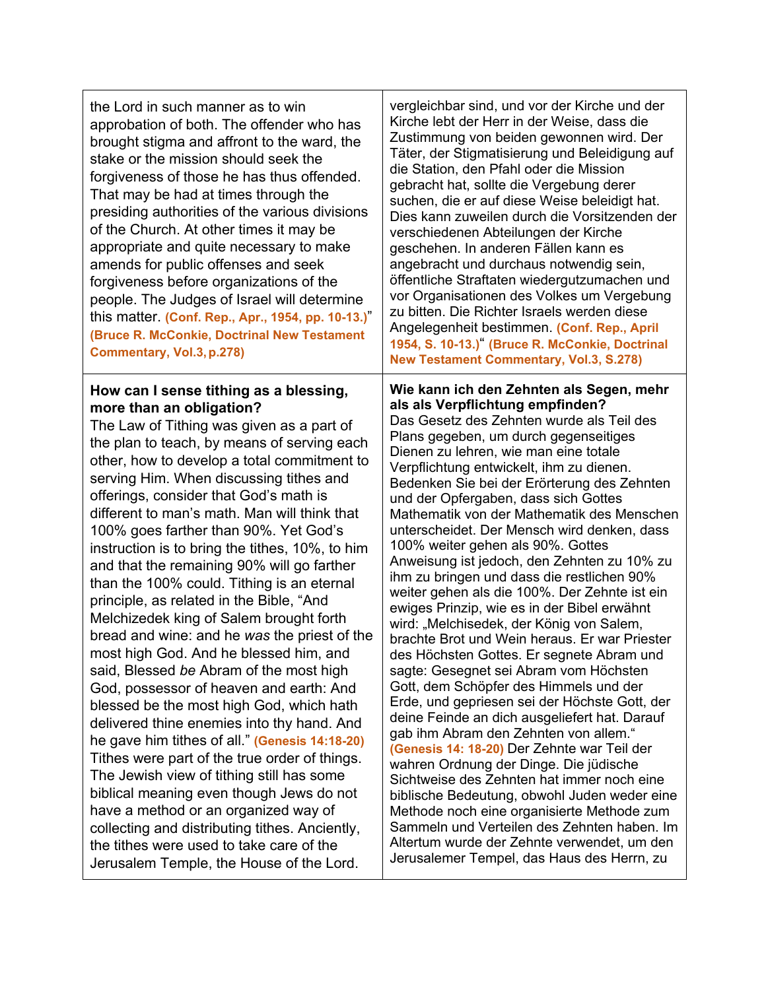| the Lord in such manner as to win<br>approbation of both. The offender who has<br>brought stigma and affront to the ward, the<br>stake or the mission should seek the<br>forgiveness of those he has thus offended.<br>That may be had at times through the<br>presiding authorities of the various divisions<br>of the Church. At other times it may be<br>appropriate and quite necessary to make<br>amends for public offenses and seek<br>forgiveness before organizations of the<br>people. The Judges of Israel will determine<br>this matter. (Conf. Rep., Apr., 1954, pp. 10-13.)"<br>(Bruce R. McConkie, Doctrinal New Testament<br>Commentary, Vol.3, p.278)                                                                                                                                                                                                                                                                                                                                                                                                                                                                                                                                                                                                                    | vergleichbar sind, und vor der Kirche und der<br>Kirche lebt der Herr in der Weise, dass die<br>Zustimmung von beiden gewonnen wird. Der<br>Täter, der Stigmatisierung und Beleidigung auf<br>die Station, den Pfahl oder die Mission<br>gebracht hat, sollte die Vergebung derer<br>suchen, die er auf diese Weise beleidigt hat.<br>Dies kann zuweilen durch die Vorsitzenden der<br>verschiedenen Abteilungen der Kirche<br>geschehen. In anderen Fällen kann es<br>angebracht und durchaus notwendig sein,<br>öffentliche Straftaten wiedergutzumachen und<br>vor Organisationen des Volkes um Vergebung<br>zu bitten. Die Richter Israels werden diese<br>Angelegenheit bestimmen. (Conf. Rep., April<br>1954, S. 10-13.)" (Bruce R. McConkie, Doctrinal<br><b>New Testament Commentary, Vol.3, S.278)</b>                                                                                                                                                                                                                                                                                                                                                                                                                                                                                                                                                                                                                         |
|-------------------------------------------------------------------------------------------------------------------------------------------------------------------------------------------------------------------------------------------------------------------------------------------------------------------------------------------------------------------------------------------------------------------------------------------------------------------------------------------------------------------------------------------------------------------------------------------------------------------------------------------------------------------------------------------------------------------------------------------------------------------------------------------------------------------------------------------------------------------------------------------------------------------------------------------------------------------------------------------------------------------------------------------------------------------------------------------------------------------------------------------------------------------------------------------------------------------------------------------------------------------------------------------|-----------------------------------------------------------------------------------------------------------------------------------------------------------------------------------------------------------------------------------------------------------------------------------------------------------------------------------------------------------------------------------------------------------------------------------------------------------------------------------------------------------------------------------------------------------------------------------------------------------------------------------------------------------------------------------------------------------------------------------------------------------------------------------------------------------------------------------------------------------------------------------------------------------------------------------------------------------------------------------------------------------------------------------------------------------------------------------------------------------------------------------------------------------------------------------------------------------------------------------------------------------------------------------------------------------------------------------------------------------------------------------------------------------------------------------------|
| How can I sense tithing as a blessing,<br>more than an obligation?<br>The Law of Tithing was given as a part of<br>the plan to teach, by means of serving each<br>other, how to develop a total commitment to<br>serving Him. When discussing tithes and<br>offerings, consider that God's math is<br>different to man's math. Man will think that<br>100% goes farther than 90%. Yet God's<br>instruction is to bring the tithes, 10%, to him<br>and that the remaining 90% will go farther<br>than the 100% could. Tithing is an eternal<br>principle, as related in the Bible, "And<br>Melchizedek king of Salem brought forth<br>bread and wine: and he was the priest of the<br>most high God. And he blessed him, and<br>said, Blessed be Abram of the most high<br>God, possessor of heaven and earth: And<br>blessed be the most high God, which hath<br>delivered thine enemies into thy hand. And<br>he gave him tithes of all." (Genesis 14:18-20)<br>Tithes were part of the true order of things.<br>The Jewish view of tithing still has some<br>biblical meaning even though Jews do not<br>have a method or an organized way of<br>collecting and distributing tithes. Anciently,<br>the tithes were used to take care of the<br>Jerusalem Temple, the House of the Lord. | Wie kann ich den Zehnten als Segen, mehr<br>als als Verpflichtung empfinden?<br>Das Gesetz des Zehnten wurde als Teil des<br>Plans gegeben, um durch gegenseitiges<br>Dienen zu lehren, wie man eine totale<br>Verpflichtung entwickelt, ihm zu dienen.<br>Bedenken Sie bei der Erörterung des Zehnten<br>und der Opfergaben, dass sich Gottes<br>Mathematik von der Mathematik des Menschen<br>unterscheidet. Der Mensch wird denken, dass<br>100% weiter gehen als 90%. Gottes<br>Anweisung ist jedoch, den Zehnten zu 10% zu<br>ihm zu bringen und dass die restlichen 90%<br>weiter gehen als die 100%. Der Zehnte ist ein<br>ewiges Prinzip, wie es in der Bibel erwähnt<br>wird: "Melchisedek, der König von Salem,<br>brachte Brot und Wein heraus. Er war Priester<br>des Höchsten Gottes. Er segnete Abram und<br>sagte: Gesegnet sei Abram vom Höchsten<br>Gott, dem Schöpfer des Himmels und der<br>Erde, und gepriesen sei der Höchste Gott, der<br>deine Feinde an dich ausgeliefert hat. Darauf<br>gab ihm Abram den Zehnten von allem."<br>(Genesis 14: 18-20) Der Zehnte war Teil der<br>wahren Ordnung der Dinge. Die jüdische<br>Sichtweise des Zehnten hat immer noch eine<br>biblische Bedeutung, obwohl Juden weder eine<br>Methode noch eine organisierte Methode zum<br>Sammeln und Verteilen des Zehnten haben. Im<br>Altertum wurde der Zehnte verwendet, um den<br>Jerusalemer Tempel, das Haus des Herrn, zu |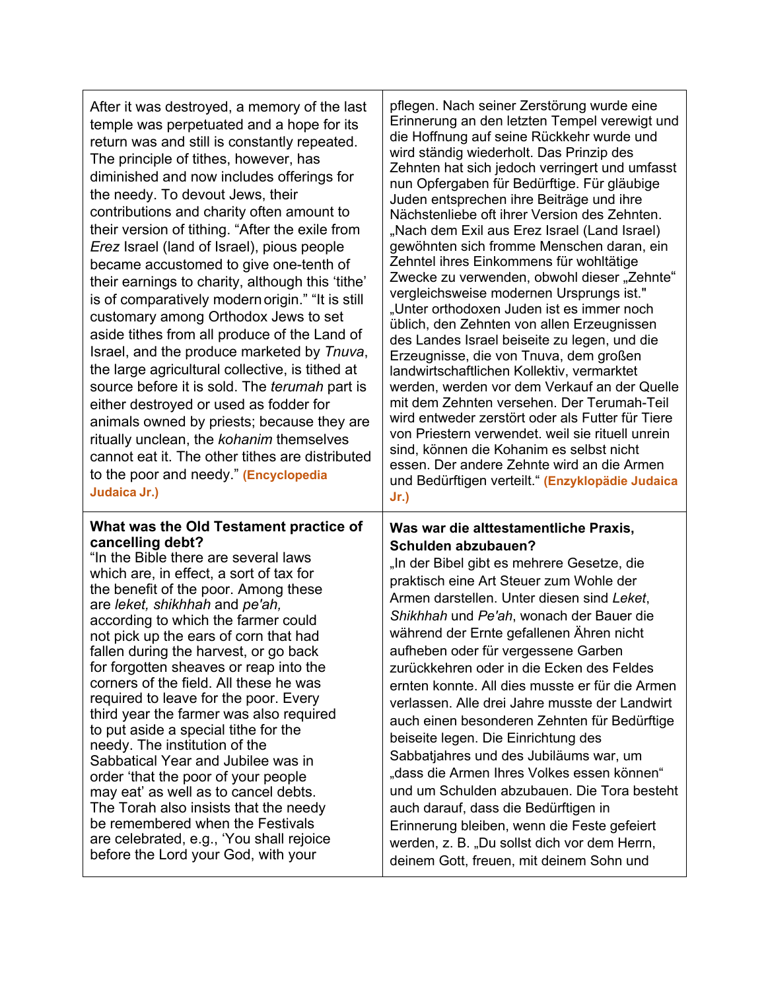| After it was destroyed, a memory of the last<br>temple was perpetuated and a hope for its<br>return was and still is constantly repeated.<br>The principle of tithes, however, has<br>diminished and now includes offerings for<br>the needy. To devout Jews, their<br>contributions and charity often amount to<br>their version of tithing. "After the exile from<br><i>Erez</i> Israel (land of Israel), pious people<br>became accustomed to give one-tenth of<br>their earnings to charity, although this 'tithe'<br>is of comparatively modern origin." "It is still<br>customary among Orthodox Jews to set<br>aside tithes from all produce of the Land of<br>Israel, and the produce marketed by Tnuva,<br>the large agricultural collective, is tithed at<br>source before it is sold. The <i>terumah</i> part is<br>either destroyed or used as fodder for<br>animals owned by priests; because they are<br>ritually unclean, the kohanim themselves<br>cannot eat it. The other tithes are distributed<br>to the poor and needy." (Encyclopedia<br>Judaica Jr.) | pflegen. Nach seiner Zerstörung wurde eine<br>Erinnerung an den letzten Tempel verewigt und<br>die Hoffnung auf seine Rückkehr wurde und<br>wird ständig wiederholt. Das Prinzip des<br>Zehnten hat sich jedoch verringert und umfasst<br>nun Opfergaben für Bedürftige. Für gläubige<br>Juden entsprechen ihre Beiträge und ihre<br>Nächstenliebe oft ihrer Version des Zehnten.<br>"Nach dem Exil aus Erez Israel (Land Israel)<br>gewöhnten sich fromme Menschen daran, ein<br>Zehntel ihres Einkommens für wohltätige<br>Zwecke zu verwenden, obwohl dieser "Zehnte"<br>vergleichsweise modernen Ursprungs ist."<br>"Unter orthodoxen Juden ist es immer noch<br>üblich, den Zehnten von allen Erzeugnissen<br>des Landes Israel beiseite zu legen, und die<br>Erzeugnisse, die von Tnuva, dem großen<br>landwirtschaftlichen Kollektiv, vermarktet<br>werden, werden vor dem Verkauf an der Quelle<br>mit dem Zehnten versehen. Der Terumah-Teil<br>wird entweder zerstört oder als Futter für Tiere<br>von Priestern verwendet. weil sie rituell unrein<br>sind, können die Kohanim es selbst nicht<br>essen. Der andere Zehnte wird an die Armen<br>und Bedürftigen verteilt." (Enzyklopädie Judaica<br>Jr.) |
|-----------------------------------------------------------------------------------------------------------------------------------------------------------------------------------------------------------------------------------------------------------------------------------------------------------------------------------------------------------------------------------------------------------------------------------------------------------------------------------------------------------------------------------------------------------------------------------------------------------------------------------------------------------------------------------------------------------------------------------------------------------------------------------------------------------------------------------------------------------------------------------------------------------------------------------------------------------------------------------------------------------------------------------------------------------------------------|---------------------------------------------------------------------------------------------------------------------------------------------------------------------------------------------------------------------------------------------------------------------------------------------------------------------------------------------------------------------------------------------------------------------------------------------------------------------------------------------------------------------------------------------------------------------------------------------------------------------------------------------------------------------------------------------------------------------------------------------------------------------------------------------------------------------------------------------------------------------------------------------------------------------------------------------------------------------------------------------------------------------------------------------------------------------------------------------------------------------------------------------------------------------------------------------------------------------|
| What was the Old Testament practice of<br>cancelling debt?<br>"In the Bible there are several laws<br>which are, in effect, a sort of tax for<br>the benefit of the poor. Among these<br>are leket, shikhhah and pe'ah,<br>according to which the farmer could<br>not pick up the ears of corn that had<br>fallen during the harvest, or go back<br>for forgotten sheaves or reap into the<br>corners of the field. All these he was<br>required to leave for the poor. Every<br>third year the farmer was also required<br>to put aside a special tithe for the<br>needy. The institution of the<br>Sabbatical Year and Jubilee was in<br>order 'that the poor of your people<br>may eat' as well as to cancel debts.<br>The Torah also insists that the needy<br>be remembered when the Festivals<br>are celebrated, e.g., 'You shall rejoice<br>before the Lord your God, with your                                                                                                                                                                                      | Was war die alttestamentliche Praxis,<br>Schulden abzubauen?<br>"In der Bibel gibt es mehrere Gesetze, die<br>praktisch eine Art Steuer zum Wohle der<br>Armen darstellen. Unter diesen sind Leket,<br>Shikhhah und Pe'ah, wonach der Bauer die<br>während der Ernte gefallenen Ähren nicht<br>aufheben oder für vergessene Garben<br>zurückkehren oder in die Ecken des Feldes<br>ernten konnte. All dies musste er für die Armen<br>verlassen. Alle drei Jahre musste der Landwirt<br>auch einen besonderen Zehnten für Bedürftige<br>beiseite legen. Die Einrichtung des<br>Sabbatjahres und des Jubiläums war, um<br>"dass die Armen Ihres Volkes essen können"<br>und um Schulden abzubauen. Die Tora besteht<br>auch darauf, dass die Bedürftigen in<br>Erinnerung bleiben, wenn die Feste gefeiert<br>werden, z. B. "Du sollst dich vor dem Herrn,<br>deinem Gott, freuen, mit deinem Sohn und                                                                                                                                                                                                                                                                                                               |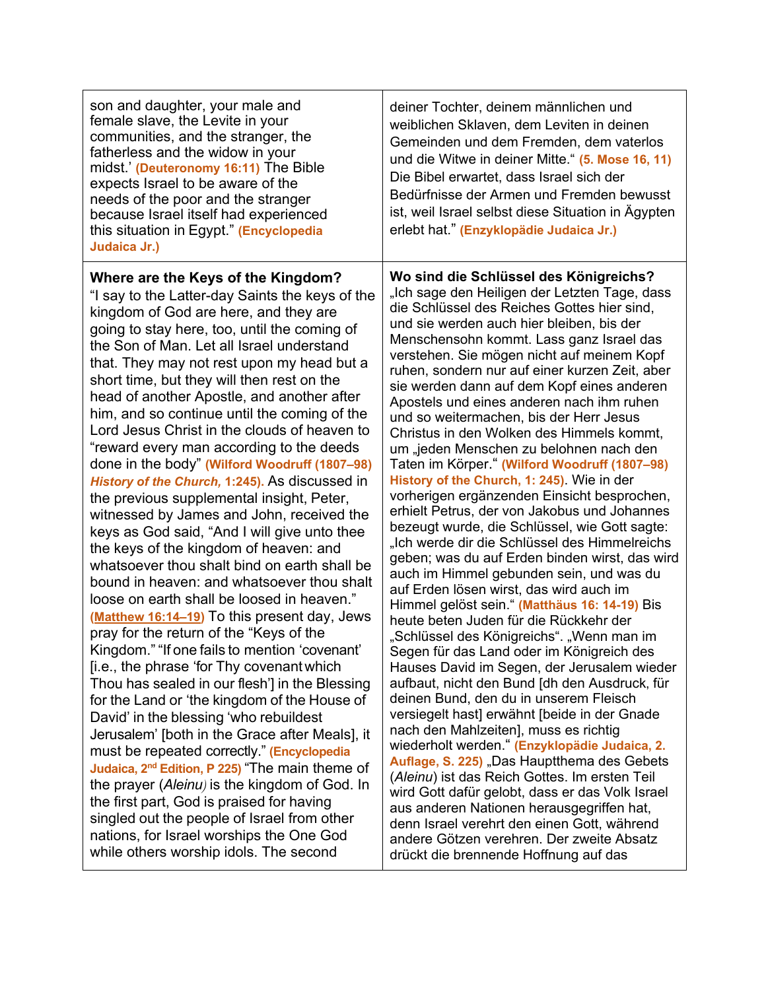| son and daughter, your male and<br>female slave, the Levite in your<br>communities, and the stranger, the<br>fatherless and the widow in your<br>midst (Deuteronomy 16:11) The Bible<br>expects Israel to be aware of the<br>needs of the poor and the stranger<br>because Israel itself had experienced<br>this situation in Egypt." (Encyclopedia<br>Judaica Jr.)                                                                                                                                                                                                                                                                                                                                                                                                                                                                                                                                                                                                                                                                                                                                                                                                                                                                                                                                                                                                                                                                                                                                                                                                                                                                                                                         | deiner Tochter, deinem männlichen und<br>weiblichen Sklaven, dem Leviten in deinen<br>Gemeinden und dem Fremden, dem vaterlos<br>und die Witwe in deiner Mitte." (5. Mose 16, 11)<br>Die Bibel erwartet, dass Israel sich der<br>Bedürfnisse der Armen und Fremden bewusst<br>ist, weil Israel selbst diese Situation in Ägypten<br>erlebt hat." (Enzyklopädie Judaica Jr.)                                                                                                                                                                                                                                                                                                                                                                                                                                                                                                                                                                                                                                                                                                                                                                                                                                                                                                                                                                                                                                                                                                                                                                                                                                                                                                                                                                                                                                          |
|---------------------------------------------------------------------------------------------------------------------------------------------------------------------------------------------------------------------------------------------------------------------------------------------------------------------------------------------------------------------------------------------------------------------------------------------------------------------------------------------------------------------------------------------------------------------------------------------------------------------------------------------------------------------------------------------------------------------------------------------------------------------------------------------------------------------------------------------------------------------------------------------------------------------------------------------------------------------------------------------------------------------------------------------------------------------------------------------------------------------------------------------------------------------------------------------------------------------------------------------------------------------------------------------------------------------------------------------------------------------------------------------------------------------------------------------------------------------------------------------------------------------------------------------------------------------------------------------------------------------------------------------------------------------------------------------|----------------------------------------------------------------------------------------------------------------------------------------------------------------------------------------------------------------------------------------------------------------------------------------------------------------------------------------------------------------------------------------------------------------------------------------------------------------------------------------------------------------------------------------------------------------------------------------------------------------------------------------------------------------------------------------------------------------------------------------------------------------------------------------------------------------------------------------------------------------------------------------------------------------------------------------------------------------------------------------------------------------------------------------------------------------------------------------------------------------------------------------------------------------------------------------------------------------------------------------------------------------------------------------------------------------------------------------------------------------------------------------------------------------------------------------------------------------------------------------------------------------------------------------------------------------------------------------------------------------------------------------------------------------------------------------------------------------------------------------------------------------------------------------------------------------------|
| Where are the Keys of the Kingdom?<br>"I say to the Latter-day Saints the keys of the<br>kingdom of God are here, and they are<br>going to stay here, too, until the coming of<br>the Son of Man. Let all Israel understand<br>that. They may not rest upon my head but a<br>short time, but they will then rest on the<br>head of another Apostle, and another after<br>him, and so continue until the coming of the<br>Lord Jesus Christ in the clouds of heaven to<br>"reward every man according to the deeds<br>done in the body" (Wilford Woodruff (1807-98)<br>History of the Church, 1:245). As discussed in<br>the previous supplemental insight, Peter,<br>witnessed by James and John, received the<br>keys as God said, "And I will give unto thee<br>the keys of the kingdom of heaven: and<br>whatsoever thou shalt bind on earth shall be<br>bound in heaven: and whatsoever thou shalt<br>loose on earth shall be loosed in heaven."<br>(Matthew 16:14-19) To this present day, Jews<br>pray for the return of the "Keys of the<br>Kingdom." "If one fails to mention 'covenant'<br>[i.e., the phrase 'for Thy covenant which<br>Thou has sealed in our flesh'] in the Blessing<br>for the Land or 'the kingdom of the House of<br>David' in the blessing 'who rebuildest<br>Jerusalem' [both in the Grace after Meals], it<br>must be repeated correctly." (Encyclopedia<br>Judaica, 2 <sup>nd</sup> Edition, P 225) "The main theme of<br>the prayer (Aleinu) is the kingdom of God. In<br>the first part, God is praised for having<br>singled out the people of Israel from other<br>nations, for Israel worships the One God<br>while others worship idols. The second | Wo sind die Schlüssel des Königreichs?<br>"Ich sage den Heiligen der Letzten Tage, dass<br>die Schlüssel des Reiches Gottes hier sind,<br>und sie werden auch hier bleiben, bis der<br>Menschensohn kommt. Lass ganz Israel das<br>verstehen. Sie mögen nicht auf meinem Kopf<br>ruhen, sondern nur auf einer kurzen Zeit, aber<br>sie werden dann auf dem Kopf eines anderen<br>Apostels und eines anderen nach ihm ruhen<br>und so weitermachen, bis der Herr Jesus<br>Christus in den Wolken des Himmels kommt,<br>um "jeden Menschen zu belohnen nach den<br>Taten im Körper." (Wilford Woodruff (1807-98)<br>History of the Church, 1: 245). Wie in der<br>vorherigen ergänzenden Einsicht besprochen,<br>erhielt Petrus, der von Jakobus und Johannes<br>bezeugt wurde, die Schlüssel, wie Gott sagte:<br>"Ich werde dir die Schlüssel des Himmelreichs<br>geben; was du auf Erden binden wirst, das wird<br>auch im Himmel gebunden sein, und was du<br>auf Erden lösen wirst, das wird auch im<br>Himmel gelöst sein." (Matthäus 16: 14-19) Bis<br>heute beten Juden für die Rückkehr der<br>"Schlüssel des Königreichs". "Wenn man im<br>Segen für das Land oder im Königreich des<br>Hauses David im Segen, der Jerusalem wieder<br>aufbaut, nicht den Bund [dh den Ausdruck, für<br>deinen Bund, den du in unserem Fleisch<br>versiegelt hast] erwähnt [beide in der Gnade<br>nach den Mahlzeiten], muss es richtig<br>wiederholt werden." (Enzyklopädie Judaica, 2.<br>Auflage, S. 225) "Das Hauptthema des Gebets<br>(Aleinu) ist das Reich Gottes. Im ersten Teil<br>wird Gott dafür gelobt, dass er das Volk Israel<br>aus anderen Nationen herausgegriffen hat,<br>denn Israel verehrt den einen Gott, während<br>andere Götzen verehren. Der zweite Absatz<br>drückt die brennende Hoffnung auf das |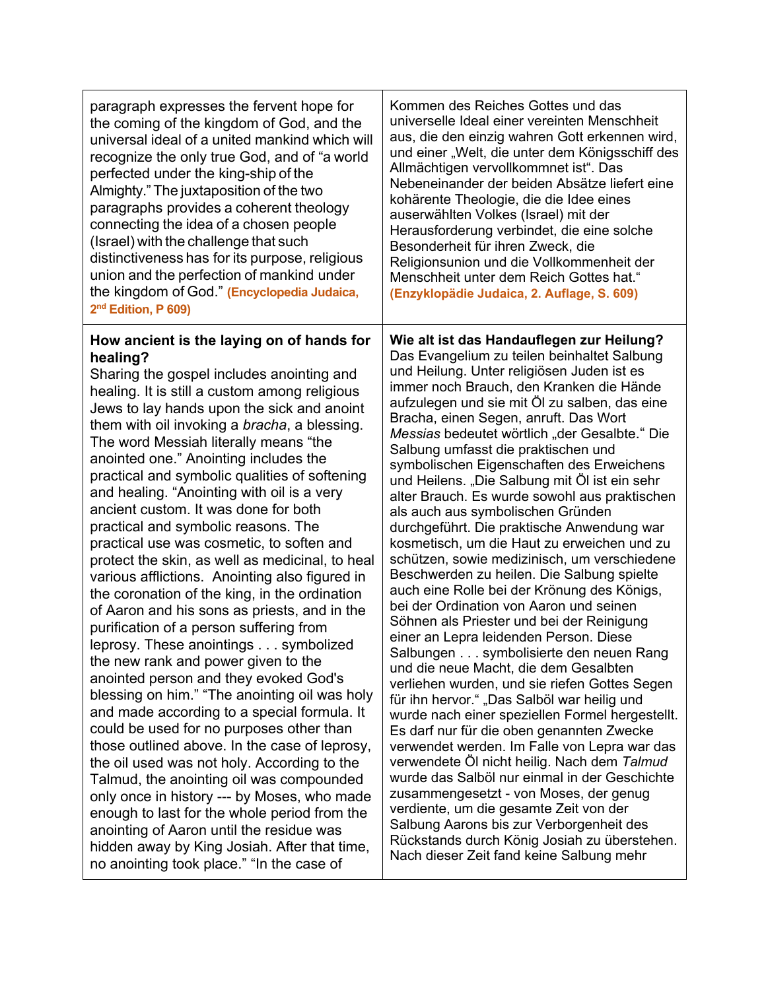| paragraph expresses the fervent hope for                                                                                                                                                                                                                                                                                                                                                                                                                                                                                                                                                                                                                                                                                                                                                                                                                                                                                                                                                                                                                                                                                                                                                                                                                                                                                                                                                                                                                                | Kommen des Reiches Gottes und das                                                                                                                                                                                                                                                                                                                                                                                                                                                                                                                                                                                                                                                                                                                                                                                                                                                                                                                                                                                                                                                                                                                                                                                                                                                                                                                                                                                                                                                                                                                                                                   |
|-------------------------------------------------------------------------------------------------------------------------------------------------------------------------------------------------------------------------------------------------------------------------------------------------------------------------------------------------------------------------------------------------------------------------------------------------------------------------------------------------------------------------------------------------------------------------------------------------------------------------------------------------------------------------------------------------------------------------------------------------------------------------------------------------------------------------------------------------------------------------------------------------------------------------------------------------------------------------------------------------------------------------------------------------------------------------------------------------------------------------------------------------------------------------------------------------------------------------------------------------------------------------------------------------------------------------------------------------------------------------------------------------------------------------------------------------------------------------|-----------------------------------------------------------------------------------------------------------------------------------------------------------------------------------------------------------------------------------------------------------------------------------------------------------------------------------------------------------------------------------------------------------------------------------------------------------------------------------------------------------------------------------------------------------------------------------------------------------------------------------------------------------------------------------------------------------------------------------------------------------------------------------------------------------------------------------------------------------------------------------------------------------------------------------------------------------------------------------------------------------------------------------------------------------------------------------------------------------------------------------------------------------------------------------------------------------------------------------------------------------------------------------------------------------------------------------------------------------------------------------------------------------------------------------------------------------------------------------------------------------------------------------------------------------------------------------------------------|
| the coming of the kingdom of God, and the                                                                                                                                                                                                                                                                                                                                                                                                                                                                                                                                                                                                                                                                                                                                                                                                                                                                                                                                                                                                                                                                                                                                                                                                                                                                                                                                                                                                                               | universelle Ideal einer vereinten Menschheit                                                                                                                                                                                                                                                                                                                                                                                                                                                                                                                                                                                                                                                                                                                                                                                                                                                                                                                                                                                                                                                                                                                                                                                                                                                                                                                                                                                                                                                                                                                                                        |
| universal ideal of a united mankind which will                                                                                                                                                                                                                                                                                                                                                                                                                                                                                                                                                                                                                                                                                                                                                                                                                                                                                                                                                                                                                                                                                                                                                                                                                                                                                                                                                                                                                          | aus, die den einzig wahren Gott erkennen wird,                                                                                                                                                                                                                                                                                                                                                                                                                                                                                                                                                                                                                                                                                                                                                                                                                                                                                                                                                                                                                                                                                                                                                                                                                                                                                                                                                                                                                                                                                                                                                      |
| recognize the only true God, and of "a world                                                                                                                                                                                                                                                                                                                                                                                                                                                                                                                                                                                                                                                                                                                                                                                                                                                                                                                                                                                                                                                                                                                                                                                                                                                                                                                                                                                                                            | und einer "Welt, die unter dem Königsschiff des                                                                                                                                                                                                                                                                                                                                                                                                                                                                                                                                                                                                                                                                                                                                                                                                                                                                                                                                                                                                                                                                                                                                                                                                                                                                                                                                                                                                                                                                                                                                                     |
| perfected under the king-ship of the                                                                                                                                                                                                                                                                                                                                                                                                                                                                                                                                                                                                                                                                                                                                                                                                                                                                                                                                                                                                                                                                                                                                                                                                                                                                                                                                                                                                                                    | Allmächtigen vervollkommnet ist". Das                                                                                                                                                                                                                                                                                                                                                                                                                                                                                                                                                                                                                                                                                                                                                                                                                                                                                                                                                                                                                                                                                                                                                                                                                                                                                                                                                                                                                                                                                                                                                               |
| Almighty." The juxtaposition of the two                                                                                                                                                                                                                                                                                                                                                                                                                                                                                                                                                                                                                                                                                                                                                                                                                                                                                                                                                                                                                                                                                                                                                                                                                                                                                                                                                                                                                                 | Nebeneinander der beiden Absätze liefert eine                                                                                                                                                                                                                                                                                                                                                                                                                                                                                                                                                                                                                                                                                                                                                                                                                                                                                                                                                                                                                                                                                                                                                                                                                                                                                                                                                                                                                                                                                                                                                       |
| paragraphs provides a coherent theology                                                                                                                                                                                                                                                                                                                                                                                                                                                                                                                                                                                                                                                                                                                                                                                                                                                                                                                                                                                                                                                                                                                                                                                                                                                                                                                                                                                                                                 | kohärente Theologie, die die Idee eines                                                                                                                                                                                                                                                                                                                                                                                                                                                                                                                                                                                                                                                                                                                                                                                                                                                                                                                                                                                                                                                                                                                                                                                                                                                                                                                                                                                                                                                                                                                                                             |
| connecting the idea of a chosen people                                                                                                                                                                                                                                                                                                                                                                                                                                                                                                                                                                                                                                                                                                                                                                                                                                                                                                                                                                                                                                                                                                                                                                                                                                                                                                                                                                                                                                  | auserwählten Volkes (Israel) mit der                                                                                                                                                                                                                                                                                                                                                                                                                                                                                                                                                                                                                                                                                                                                                                                                                                                                                                                                                                                                                                                                                                                                                                                                                                                                                                                                                                                                                                                                                                                                                                |
| (Israel) with the challenge that such                                                                                                                                                                                                                                                                                                                                                                                                                                                                                                                                                                                                                                                                                                                                                                                                                                                                                                                                                                                                                                                                                                                                                                                                                                                                                                                                                                                                                                   | Herausforderung verbindet, die eine solche                                                                                                                                                                                                                                                                                                                                                                                                                                                                                                                                                                                                                                                                                                                                                                                                                                                                                                                                                                                                                                                                                                                                                                                                                                                                                                                                                                                                                                                                                                                                                          |
| distinctiveness has for its purpose, religious                                                                                                                                                                                                                                                                                                                                                                                                                                                                                                                                                                                                                                                                                                                                                                                                                                                                                                                                                                                                                                                                                                                                                                                                                                                                                                                                                                                                                          | Besonderheit für ihren Zweck, die                                                                                                                                                                                                                                                                                                                                                                                                                                                                                                                                                                                                                                                                                                                                                                                                                                                                                                                                                                                                                                                                                                                                                                                                                                                                                                                                                                                                                                                                                                                                                                   |
| union and the perfection of mankind under                                                                                                                                                                                                                                                                                                                                                                                                                                                                                                                                                                                                                                                                                                                                                                                                                                                                                                                                                                                                                                                                                                                                                                                                                                                                                                                                                                                                                               | Religionsunion und die Vollkommenheit der                                                                                                                                                                                                                                                                                                                                                                                                                                                                                                                                                                                                                                                                                                                                                                                                                                                                                                                                                                                                                                                                                                                                                                                                                                                                                                                                                                                                                                                                                                                                                           |
| the kingdom of God." (Encyclopedia Judaica,                                                                                                                                                                                                                                                                                                                                                                                                                                                                                                                                                                                                                                                                                                                                                                                                                                                                                                                                                                                                                                                                                                                                                                                                                                                                                                                                                                                                                             | Menschheit unter dem Reich Gottes hat."                                                                                                                                                                                                                                                                                                                                                                                                                                                                                                                                                                                                                                                                                                                                                                                                                                                                                                                                                                                                                                                                                                                                                                                                                                                                                                                                                                                                                                                                                                                                                             |
| 2 <sup>nd</sup> Edition, P 609)                                                                                                                                                                                                                                                                                                                                                                                                                                                                                                                                                                                                                                                                                                                                                                                                                                                                                                                                                                                                                                                                                                                                                                                                                                                                                                                                                                                                                                         | (Enzyklopädie Judaica, 2. Auflage, S. 609)                                                                                                                                                                                                                                                                                                                                                                                                                                                                                                                                                                                                                                                                                                                                                                                                                                                                                                                                                                                                                                                                                                                                                                                                                                                                                                                                                                                                                                                                                                                                                          |
| How ancient is the laying on of hands for<br>healing?<br>Sharing the gospel includes anointing and<br>healing. It is still a custom among religious<br>Jews to lay hands upon the sick and anoint<br>them with oil invoking a bracha, a blessing.<br>The word Messiah literally means "the<br>anointed one." Anointing includes the<br>practical and symbolic qualities of softening<br>and healing. "Anointing with oil is a very<br>ancient custom. It was done for both<br>practical and symbolic reasons. The<br>practical use was cosmetic, to soften and<br>protect the skin, as well as medicinal, to heal<br>various afflictions. Anointing also figured in<br>the coronation of the king, in the ordination<br>of Aaron and his sons as priests, and in the<br>purification of a person suffering from<br>leprosy. These anointings symbolized<br>the new rank and power given to the<br>anointed person and they evoked God's<br>blessing on him." "The anointing oil was holy<br>and made according to a special formula. It<br>could be used for no purposes other than<br>those outlined above. In the case of leprosy,<br>the oil used was not holy. According to the<br>Talmud, the anointing oil was compounded<br>only once in history --- by Moses, who made<br>enough to last for the whole period from the<br>anointing of Aaron until the residue was<br>hidden away by King Josiah. After that time,<br>no anointing took place." "In the case of | Wie alt ist das Handauflegen zur Heilung?<br>Das Evangelium zu teilen beinhaltet Salbung<br>und Heilung. Unter religiösen Juden ist es<br>immer noch Brauch, den Kranken die Hände<br>aufzulegen und sie mit Öl zu salben, das eine<br>Bracha, einen Segen, anruft. Das Wort<br>Messias bedeutet wörtlich "der Gesalbte." Die<br>Salbung umfasst die praktischen und<br>symbolischen Eigenschaften des Erweichens<br>und Heilens. "Die Salbung mit Öl ist ein sehr<br>alter Brauch. Es wurde sowohl aus praktischen<br>als auch aus symbolischen Gründen<br>durchgeführt. Die praktische Anwendung war<br>kosmetisch, um die Haut zu erweichen und zu<br>schützen, sowie medizinisch, um verschiedene<br>Beschwerden zu heilen. Die Salbung spielte<br>auch eine Rolle bei der Krönung des Königs,<br>bei der Ordination von Aaron und seinen<br>Söhnen als Priester und bei der Reinigung<br>einer an Lepra leidenden Person. Diese<br>Salbungen symbolisierte den neuen Rang<br>und die neue Macht, die dem Gesalbten<br>verliehen wurden, und sie riefen Gottes Segen<br>für ihn hervor." "Das Salböl war heilig und<br>wurde nach einer speziellen Formel hergestellt.<br>Es darf nur für die oben genannten Zwecke<br>verwendet werden. Im Falle von Lepra war das<br>verwendete Öl nicht heilig. Nach dem Talmud<br>wurde das Salböl nur einmal in der Geschichte<br>zusammengesetzt - von Moses, der genug<br>verdiente, um die gesamte Zeit von der<br>Salbung Aarons bis zur Verborgenheit des<br>Rückstands durch König Josiah zu überstehen.<br>Nach dieser Zeit fand keine Salbung mehr |